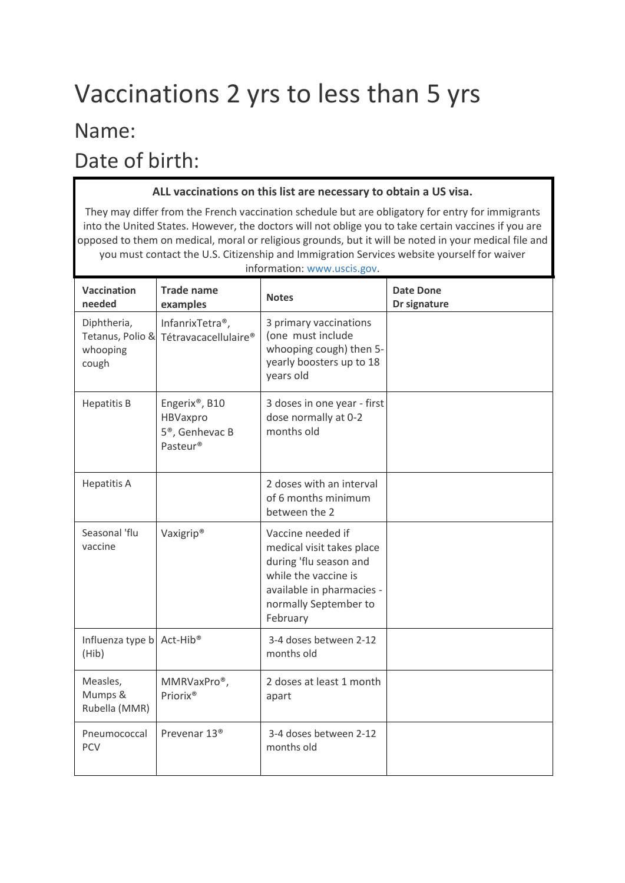## Vaccinations 2 yrs to less than 5 yrs

## Name:

Date of birth:

## **ALL vaccinations on this list are necessary to obtain a US visa.**

They may differ from the French vaccination schedule but are obligatory for entry for immigrants into the United States. However, the doctors will not oblige you to take certain vaccines if you are opposed to them on medical, moral or religious grounds, but it will be noted in your medical file and you must contact the U.S. Citizenship and Immigration Services website yourself for waiver

| information: www.uscis.gov.                    |                                                                       |                                                                                                                                                                    |                                  |  |  |
|------------------------------------------------|-----------------------------------------------------------------------|--------------------------------------------------------------------------------------------------------------------------------------------------------------------|----------------------------------|--|--|
| <b>Vaccination</b><br>needed                   | <b>Trade name</b><br>examples                                         | <b>Notes</b>                                                                                                                                                       | <b>Date Done</b><br>Dr signature |  |  |
| Diphtheria,<br>whooping<br>cough               | InfanrixTetra <sup>®</sup> ,<br>Tetanus, Polio & Tétravacacellulaire® | 3 primary vaccinations<br>(one must include<br>whooping cough) then 5-<br>yearly boosters up to 18<br>years old                                                    |                                  |  |  |
| <b>Hepatitis B</b>                             | Engerix®, B10<br>HBVaxpro<br>5 <sup>®</sup> , Genhevac B<br>Pasteur®  | 3 doses in one year - first<br>dose normally at 0-2<br>months old                                                                                                  |                                  |  |  |
| <b>Hepatitis A</b>                             |                                                                       | 2 doses with an interval<br>of 6 months minimum<br>between the 2                                                                                                   |                                  |  |  |
| Seasonal 'flu<br>vaccine                       | Vaxigrip <sup>®</sup>                                                 | Vaccine needed if<br>medical visit takes place<br>during 'flu season and<br>while the vaccine is<br>available in pharmacies -<br>normally September to<br>February |                                  |  |  |
| Influenza type b Act-Hib <sup>®</sup><br>(Hib) |                                                                       | 3-4 doses between 2-12<br>months old                                                                                                                               |                                  |  |  |
| Measles,<br>Mumps &<br>Rubella (MMR)           | MMRVaxPro®,<br>Priorix <sup>®</sup>                                   | 2 doses at least 1 month<br>apart                                                                                                                                  |                                  |  |  |
| Pneumococcal<br><b>PCV</b>                     | Prevenar 13 <sup>®</sup>                                              | 3-4 doses between 2-12<br>months old                                                                                                                               |                                  |  |  |